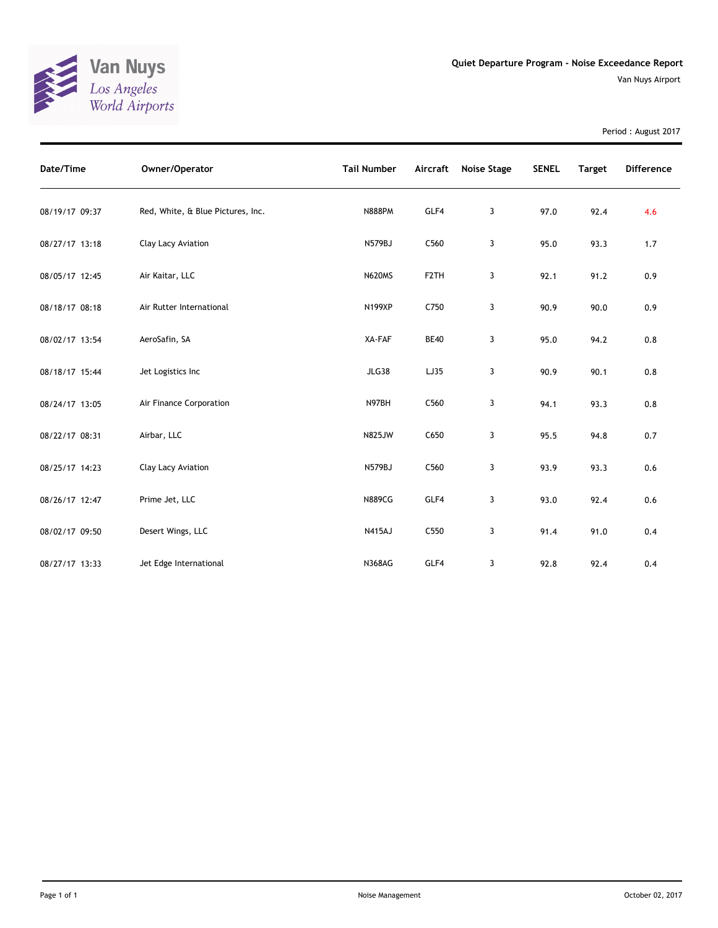

Period : August 2017

| Date/Time      | Owner/Operator                    | <b>Tail Number</b> |                   | Aircraft Noise Stage | <b>SENEL</b> | <b>Target</b> | <b>Difference</b> |
|----------------|-----------------------------------|--------------------|-------------------|----------------------|--------------|---------------|-------------------|
| 08/19/17 09:37 | Red, White, & Blue Pictures, Inc. | <b>N888PM</b>      | GLF4              | 3                    | 97.0         | 92.4          | 4.6               |
| 08/27/17 13:18 | Clay Lacy Aviation                | N579BJ             | C560              | 3                    | 95.0         | 93.3          | 1.7               |
| 08/05/17 12:45 | Air Kaitar, LLC                   | <b>N620MS</b>      | F <sub>2</sub> TH | 3                    | 92.1         | 91.2          | 0.9               |
| 08/18/17 08:18 | Air Rutter International          | <b>N199XP</b>      | C750              | 3                    | 90.9         | 90.0          | 0.9               |
| 08/02/17 13:54 | AeroSafin, SA                     | XA-FAF             | <b>BE40</b>       | 3                    | 95.0         | 94.2          | 0.8               |
| 08/18/17 15:44 | Jet Logistics Inc                 | <b>JLG38</b>       | LJ35              | 3                    | 90.9         | 90.1          | 0.8               |
| 08/24/17 13:05 | Air Finance Corporation           | N97BH              | C560              | 3                    | 94.1         | 93.3          | 0.8               |
| 08/22/17 08:31 | Airbar, LLC                       | <b>N825JW</b>      | C650              | 3                    | 95.5         | 94.8          | 0.7               |
| 08/25/17 14:23 | Clay Lacy Aviation                | <b>N579BJ</b>      | C560              | 3                    | 93.9         | 93.3          | 0.6               |
| 08/26/17 12:47 | Prime Jet, LLC                    | <b>N889CG</b>      | GLF4              | 3                    | 93.0         | 92.4          | 0.6               |
| 08/02/17 09:50 | Desert Wings, LLC                 | <b>N415AJ</b>      | C550              | 3                    | 91.4         | 91.0          | 0.4               |
| 08/27/17 13:33 | Jet Edge International            | <b>N368AG</b>      | GLF4              | 3                    | 92.8         | 92.4          | 0.4               |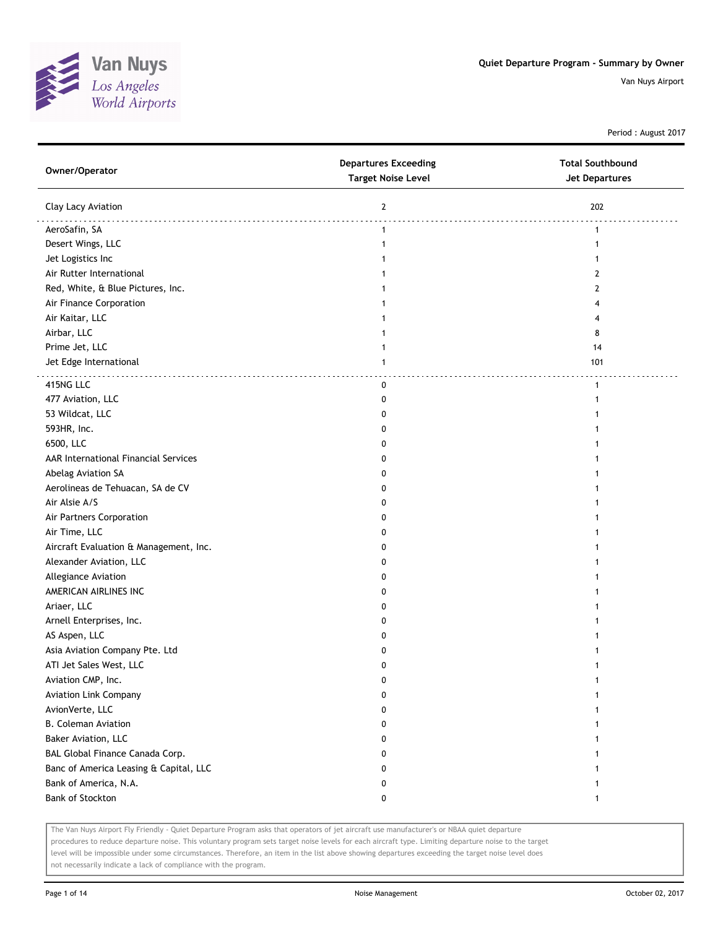

Period : August 2017

| Owner/Operator                         | <b>Departures Exceeding</b><br><b>Target Noise Level</b> | <b>Total Southbound</b><br><b>Jet Departures</b> |
|----------------------------------------|----------------------------------------------------------|--------------------------------------------------|
| Clay Lacy Aviation                     | $\overline{2}$                                           | 202                                              |
| AeroSafin, SA                          | $\mathbf{1}$                                             | $\mathbf{1}$                                     |
| Desert Wings, LLC                      | 1                                                        | 1                                                |
| Jet Logistics Inc                      |                                                          | 1                                                |
| Air Rutter International               |                                                          | 2                                                |
| Red, White, & Blue Pictures, Inc.      |                                                          | 2                                                |
| Air Finance Corporation                |                                                          | 4                                                |
| Air Kaitar, LLC                        |                                                          | 4                                                |
| Airbar, LLC                            |                                                          | 8                                                |
| Prime Jet, LLC                         | 1                                                        | 14                                               |
| Jet Edge International                 | 1                                                        | 101                                              |
| 415NG LLC                              | 0                                                        | $\mathbf{1}$                                     |
| 477 Aviation, LLC                      | 0                                                        | 1                                                |
| 53 Wildcat, LLC                        | 0                                                        |                                                  |
| 593HR, Inc.                            | 0                                                        |                                                  |
| 6500, LLC                              | 0                                                        | 1                                                |
| AAR International Financial Services   | 0                                                        | 1                                                |
| Abelag Aviation SA                     | 0                                                        | 1                                                |
| Aerolineas de Tehuacan, SA de CV       | 0                                                        |                                                  |
| Air Alsie A/S                          | 0                                                        |                                                  |
| Air Partners Corporation               | 0                                                        |                                                  |
| Air Time, LLC                          | 0                                                        |                                                  |
| Aircraft Evaluation & Management, Inc. | 0                                                        |                                                  |
| Alexander Aviation, LLC                | 0                                                        |                                                  |
| Allegiance Aviation                    | 0                                                        |                                                  |
| AMERICAN AIRLINES INC                  | 0                                                        |                                                  |
| Ariaer, LLC                            | 0                                                        |                                                  |
| Arnell Enterprises, Inc.               | 0                                                        |                                                  |
| AS Aspen, LLC                          | 0                                                        |                                                  |
| Asia Aviation Company Pte. Ltd         | 0                                                        |                                                  |
| ATI Jet Sales West, LLC                | 0                                                        |                                                  |
| Aviation CMP, Inc.                     | o                                                        |                                                  |
| <b>Aviation Link Company</b>           | 0                                                        | 1                                                |
| AvionVerte, LLC                        | 0                                                        |                                                  |
| <b>B. Coleman Aviation</b>             | 0                                                        | 1                                                |
| Baker Aviation, LLC                    | 0                                                        | 1                                                |
| BAL Global Finance Canada Corp.        | 0                                                        | 1                                                |
| Banc of America Leasing & Capital, LLC | 0                                                        | 1                                                |
| Bank of America, N.A.                  | 0                                                        | 1                                                |
| Bank of Stockton                       | 0                                                        | 1                                                |

The Van Nuys Airport Fly Friendly - Quiet Departure Program asks that operators of jet aircraft use manufacturer's or NBAA quiet departure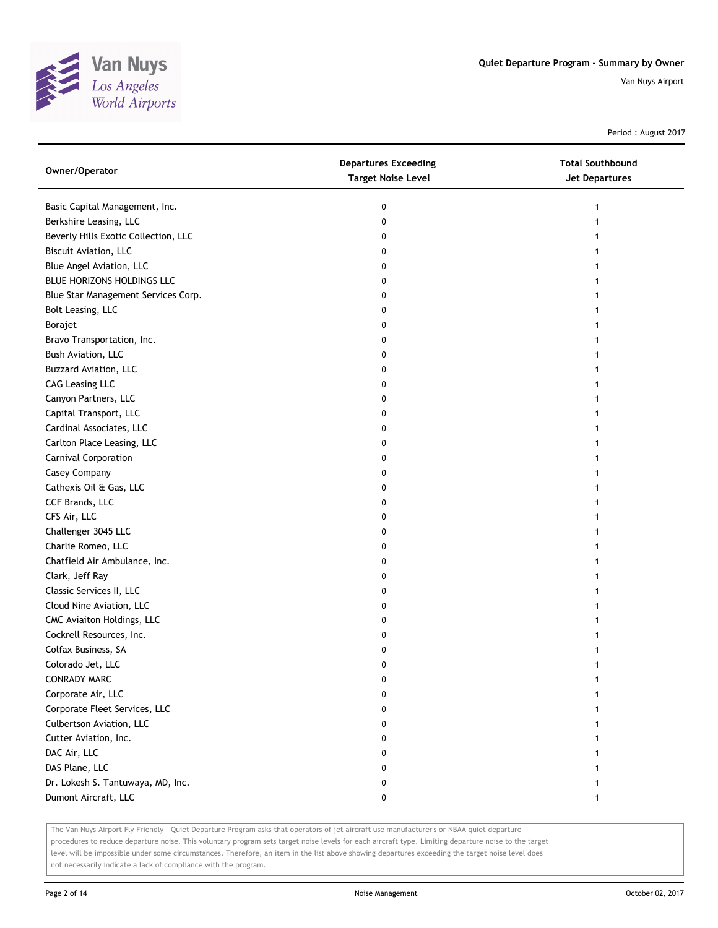

Period : August 2017

| Owner/Operator                       | <b>Departures Exceeding</b><br><b>Target Noise Level</b> | <b>Total Southbound</b><br>Jet Departures |
|--------------------------------------|----------------------------------------------------------|-------------------------------------------|
| Basic Capital Management, Inc.       | 0                                                        |                                           |
| Berkshire Leasing, LLC               | 0                                                        |                                           |
| Beverly Hills Exotic Collection, LLC | 0                                                        |                                           |
| Biscuit Aviation, LLC                | 0                                                        |                                           |
| Blue Angel Aviation, LLC             | 0                                                        |                                           |
| BLUE HORIZONS HOLDINGS LLC           | 0                                                        |                                           |
| Blue Star Management Services Corp.  | 0                                                        |                                           |
| Bolt Leasing, LLC                    | 0                                                        |                                           |
| Borajet                              | 0                                                        |                                           |
| Bravo Transportation, Inc.           | 0                                                        |                                           |
| Bush Aviation, LLC                   | 0                                                        |                                           |
| Buzzard Aviation, LLC                | 0                                                        |                                           |
| <b>CAG Leasing LLC</b>               | 0                                                        |                                           |
| Canyon Partners, LLC                 | 0                                                        |                                           |
| Capital Transport, LLC               | 0                                                        |                                           |
| Cardinal Associates, LLC             | 0                                                        |                                           |
| Carlton Place Leasing, LLC           | 0                                                        |                                           |
| Carnival Corporation                 | 0                                                        |                                           |
| Casey Company                        | 0                                                        |                                           |
| Cathexis Oil & Gas, LLC              | 0                                                        |                                           |
| CCF Brands, LLC                      | 0                                                        |                                           |
| CFS Air, LLC                         | 0                                                        |                                           |
| Challenger 3045 LLC                  | 0                                                        |                                           |
| Charlie Romeo, LLC                   | 0                                                        |                                           |
| Chatfield Air Ambulance, Inc.        | 0                                                        |                                           |
| Clark, Jeff Ray                      | 0                                                        |                                           |
| Classic Services II, LLC             | 0                                                        |                                           |
| Cloud Nine Aviation, LLC             | 0                                                        |                                           |
| CMC Aviaiton Holdings, LLC           | 0                                                        |                                           |
| Cockrell Resources, Inc.             | 0                                                        |                                           |
| Colfax Business, SA                  | 0                                                        |                                           |
| Colorado Jet, LLC                    | 0                                                        |                                           |
| <b>CONRADY MARC</b>                  | 0                                                        |                                           |
| Corporate Air, LLC                   | 0                                                        |                                           |
| Corporate Fleet Services, LLC        | 0                                                        |                                           |
| Culbertson Aviation, LLC             | 0                                                        |                                           |
| Cutter Aviation, Inc.                | 0                                                        |                                           |
| DAC Air, LLC                         | 0                                                        |                                           |
| DAS Plane, LLC                       | 0                                                        |                                           |
| Dr. Lokesh S. Tantuwaya, MD, Inc.    | 0                                                        |                                           |
| Dumont Aircraft, LLC                 | 0                                                        |                                           |

The Van Nuys Airport Fly Friendly - Quiet Departure Program asks that operators of jet aircraft use manufacturer's or NBAA quiet departure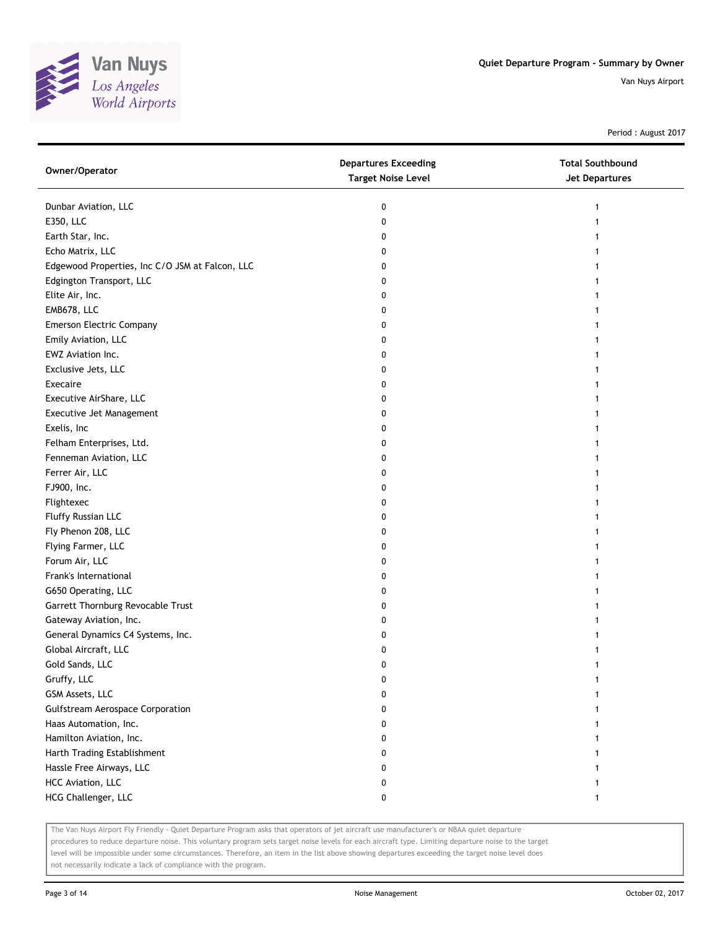

Period : August 2017

| Owner/Operator                                  | <b>Departures Exceeding</b><br><b>Target Noise Level</b> | <b>Total Southbound</b><br>Jet Departures |
|-------------------------------------------------|----------------------------------------------------------|-------------------------------------------|
| Dunbar Aviation, LLC                            | 0                                                        | 1                                         |
| E350, LLC                                       | 0                                                        |                                           |
| Earth Star, Inc.                                | 0                                                        |                                           |
| Echo Matrix, LLC                                | 0                                                        |                                           |
| Edgewood Properties, Inc C/O JSM at Falcon, LLC | 0                                                        |                                           |
| Edgington Transport, LLC                        | 0                                                        |                                           |
| Elite Air, Inc.                                 | 0                                                        |                                           |
| EMB678, LLC                                     | 0                                                        |                                           |
| <b>Emerson Electric Company</b>                 | 0                                                        |                                           |
| Emily Aviation, LLC                             | 0                                                        |                                           |
| EWZ Aviation Inc.                               | 0                                                        |                                           |
| Exclusive Jets, LLC                             | 0                                                        |                                           |
| Execaire                                        | 0                                                        |                                           |
| Executive AirShare, LLC                         | 0                                                        |                                           |
| Executive Jet Management                        | 0                                                        |                                           |
| Exelis, Inc                                     | 0                                                        |                                           |
| Felham Enterprises, Ltd.                        | 0                                                        |                                           |
| Fenneman Aviation, LLC                          | 0                                                        |                                           |
| Ferrer Air, LLC                                 | 0                                                        |                                           |
| FJ900, Inc.                                     | 0                                                        |                                           |
| Flightexec                                      | 0                                                        |                                           |
| Fluffy Russian LLC                              | 0                                                        |                                           |
| Fly Phenon 208, LLC                             | 0                                                        |                                           |
| Flying Farmer, LLC                              | 0                                                        |                                           |
| Forum Air, LLC                                  | 0                                                        |                                           |
| Frank's International                           | 0                                                        |                                           |
| G650 Operating, LLC                             | 0                                                        |                                           |
| Garrett Thornburg Revocable Trust               | 0                                                        |                                           |
| Gateway Aviation, Inc.                          | 0                                                        |                                           |
| General Dynamics C4 Systems, Inc.               | 0                                                        |                                           |
| Global Aircraft, LLC                            | 0                                                        |                                           |
| Gold Sands, LLC                                 | 0                                                        |                                           |
| Gruffy, LLC                                     | 0                                                        |                                           |
| GSM Assets, LLC                                 | 0                                                        |                                           |
| <b>Gulfstream Aerospace Corporation</b>         | 0                                                        |                                           |
| Haas Automation, Inc.                           | 0                                                        |                                           |
| Hamilton Aviation, Inc.                         | 0                                                        |                                           |
| Harth Trading Establishment                     | 0                                                        |                                           |
| Hassle Free Airways, LLC                        | 0                                                        |                                           |
| HCC Aviation, LLC                               | 0                                                        |                                           |
| HCG Challenger, LLC                             | 0                                                        |                                           |

The Van Nuys Airport Fly Friendly - Quiet Departure Program asks that operators of jet aircraft use manufacturer's or NBAA quiet departure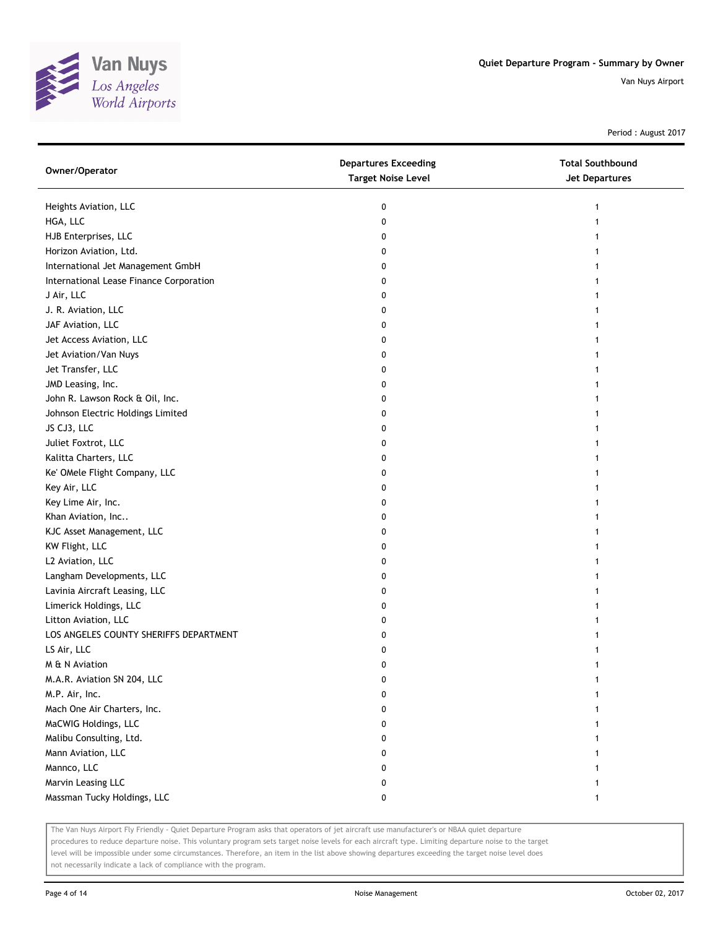

Period : August 2017

| Owner/Operator                          | <b>Departures Exceeding</b><br><b>Target Noise Level</b> | <b>Total Southbound</b><br><b>Jet Departures</b> |
|-----------------------------------------|----------------------------------------------------------|--------------------------------------------------|
| Heights Aviation, LLC                   | 0                                                        | 1                                                |
| HGA, LLC                                | 0                                                        | 1                                                |
| HJB Enterprises, LLC                    | 0                                                        | 1                                                |
| Horizon Aviation, Ltd.                  | 0                                                        | 1                                                |
| International Jet Management GmbH       | 0                                                        | 1                                                |
| International Lease Finance Corporation | 0                                                        | 1                                                |
| J Air, LLC                              | 0                                                        | 1                                                |
| J. R. Aviation, LLC                     | 0                                                        |                                                  |
| JAF Aviation, LLC                       | 0                                                        |                                                  |
| Jet Access Aviation, LLC                | 0                                                        |                                                  |
| Jet Aviation/Van Nuys                   | 0                                                        |                                                  |
| Jet Transfer, LLC                       | 0                                                        | 1                                                |
| JMD Leasing, Inc.                       | 0                                                        | 1                                                |
| John R. Lawson Rock & Oil, Inc.         | 0                                                        | 1                                                |
| Johnson Electric Holdings Limited       | 0                                                        | 1                                                |
| JS CJ3, LLC                             | 0                                                        | 1                                                |
| Juliet Foxtrot, LLC                     | 0                                                        | 1                                                |
| Kalitta Charters, LLC                   | 0                                                        |                                                  |
| Ke' OMele Flight Company, LLC           | 0                                                        |                                                  |
| Key Air, LLC                            | 0                                                        |                                                  |
| Key Lime Air, Inc.                      | 0                                                        |                                                  |
| Khan Aviation, Inc                      | 0                                                        |                                                  |
| KJC Asset Management, LLC               | 0                                                        | 1                                                |
| KW Flight, LLC                          | 0                                                        |                                                  |
| L2 Aviation, LLC                        | 0                                                        | 1                                                |
| Langham Developments, LLC               | 0                                                        | 1                                                |
| Lavinia Aircraft Leasing, LLC           | 0                                                        |                                                  |
| Limerick Holdings, LLC                  | 0                                                        |                                                  |
| Litton Aviation, LLC                    | 0                                                        |                                                  |
| LOS ANGELES COUNTY SHERIFFS DEPARTMENT  | 0                                                        |                                                  |
| LS Air, LLC                             | 0                                                        |                                                  |
| M & N Aviation                          | 0                                                        | 1                                                |
| M.A.R. Aviation SN 204, LLC             | 0                                                        | 1                                                |
| M.P. Air, Inc.                          | 0                                                        |                                                  |
| Mach One Air Charters, Inc.             | 0                                                        |                                                  |
| MaCWIG Holdings, LLC                    | 0                                                        |                                                  |
| Malibu Consulting, Ltd.                 | 0                                                        |                                                  |
| Mann Aviation, LLC                      | 0                                                        |                                                  |
| Mannco, LLC                             | 0                                                        |                                                  |
| Marvin Leasing LLC                      | 0                                                        |                                                  |
| Massman Tucky Holdings, LLC             | 0                                                        | 1                                                |

The Van Nuys Airport Fly Friendly - Quiet Departure Program asks that operators of jet aircraft use manufacturer's or NBAA quiet departure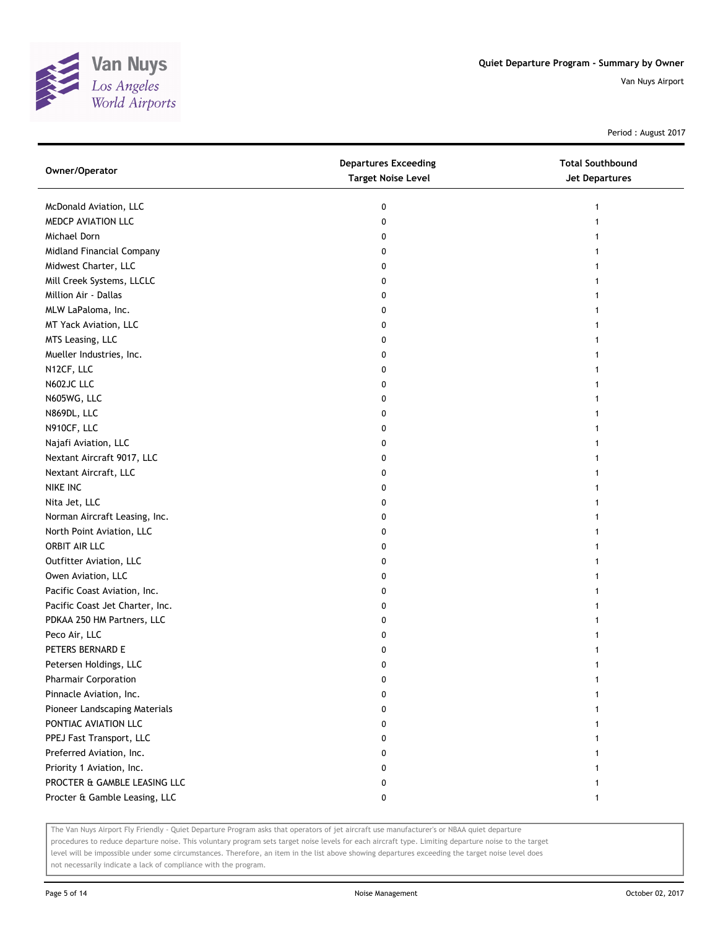

Period : August 2017

| Owner/Operator                  | <b>Departures Exceeding</b><br><b>Target Noise Level</b> | <b>Total Southbound</b><br><b>Jet Departures</b> |
|---------------------------------|----------------------------------------------------------|--------------------------------------------------|
| McDonald Aviation, LLC          | 0                                                        |                                                  |
| MEDCP AVIATION LLC              | 0                                                        |                                                  |
| Michael Dorn                    | 0                                                        |                                                  |
| Midland Financial Company       | 0                                                        |                                                  |
| Midwest Charter, LLC            | 0                                                        |                                                  |
| Mill Creek Systems, LLCLC       | 0                                                        |                                                  |
| Million Air - Dallas            | 0                                                        |                                                  |
| MLW LaPaloma, Inc.              | 0                                                        |                                                  |
| MT Yack Aviation, LLC           | 0                                                        |                                                  |
| MTS Leasing, LLC                | 0                                                        |                                                  |
| Mueller Industries, Inc.        | 0                                                        |                                                  |
| N12CF, LLC                      | 0                                                        |                                                  |
| N602JC LLC                      | 0                                                        |                                                  |
| N605WG, LLC                     | 0                                                        |                                                  |
| N869DL, LLC                     | 0                                                        |                                                  |
| N910CF, LLC                     | 0                                                        | 1                                                |
| Najafi Aviation, LLC            | 0                                                        |                                                  |
| Nextant Aircraft 9017, LLC      | 0                                                        |                                                  |
| Nextant Aircraft, LLC           | 0                                                        |                                                  |
| NIKE INC                        | 0                                                        |                                                  |
| Nita Jet, LLC                   | 0                                                        |                                                  |
| Norman Aircraft Leasing, Inc.   | 0                                                        |                                                  |
| North Point Aviation, LLC       | 0                                                        |                                                  |
| ORBIT AIR LLC                   | 0                                                        |                                                  |
| Outfitter Aviation, LLC         | 0                                                        |                                                  |
| Owen Aviation, LLC              | 0                                                        |                                                  |
| Pacific Coast Aviation, Inc.    | 0                                                        |                                                  |
| Pacific Coast Jet Charter, Inc. | 0                                                        |                                                  |
| PDKAA 250 HM Partners, LLC      | 0                                                        |                                                  |
| Peco Air, LLC                   | 0                                                        |                                                  |
| PETERS BERNARD E                | 0                                                        |                                                  |
| Petersen Holdings, LLC          | 0                                                        |                                                  |
| <b>Pharmair Corporation</b>     | 0                                                        |                                                  |
| Pinnacle Aviation, Inc.         | 0                                                        |                                                  |
| Pioneer Landscaping Materials   | 0                                                        |                                                  |
| PONTIAC AVIATION LLC            | 0                                                        |                                                  |
| PPEJ Fast Transport, LLC        | 0                                                        |                                                  |
| Preferred Aviation, Inc.        | 0                                                        |                                                  |
| Priority 1 Aviation, Inc.       | 0                                                        |                                                  |
| PROCTER & GAMBLE LEASING LLC    | 0                                                        |                                                  |
| Procter & Gamble Leasing, LLC   | 0                                                        |                                                  |

The Van Nuys Airport Fly Friendly - Quiet Departure Program asks that operators of jet aircraft use manufacturer's or NBAA quiet departure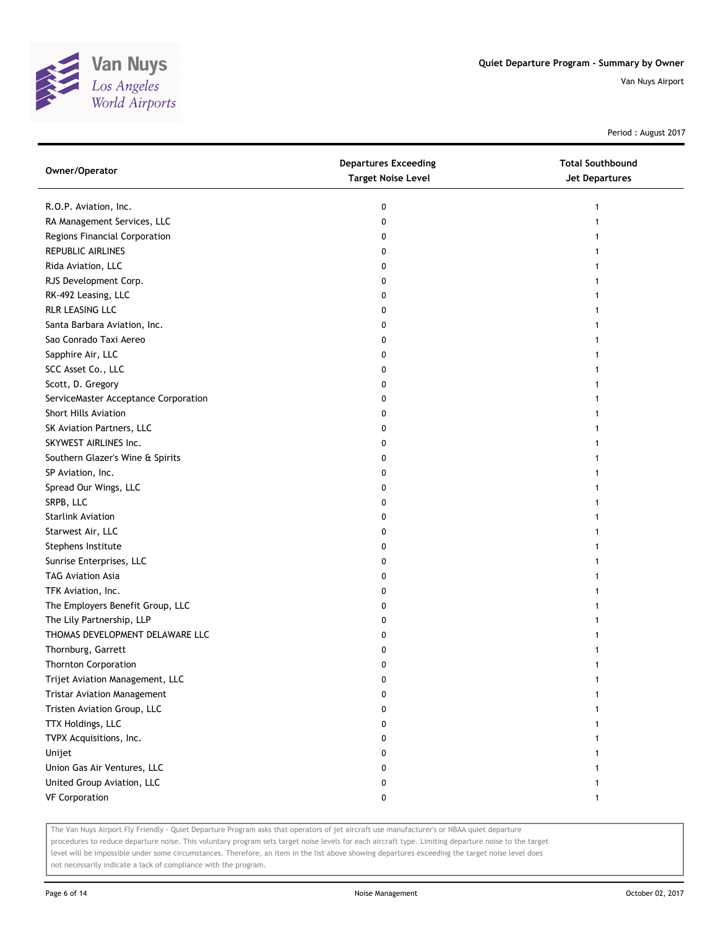

Period : August 2017

| Owner/Operator                       | <b>Departures Exceeding</b><br><b>Target Noise Level</b> | <b>Total Southbound</b><br><b>Jet Departures</b> |
|--------------------------------------|----------------------------------------------------------|--------------------------------------------------|
| R.O.P. Aviation, Inc.                | 0                                                        | 1                                                |
| RA Management Services, LLC          | 0                                                        |                                                  |
| Regions Financial Corporation        | 0                                                        |                                                  |
| <b>REPUBLIC AIRLINES</b>             | 0                                                        |                                                  |
| Rida Aviation, LLC                   | 0                                                        |                                                  |
| RJS Development Corp.                | 0                                                        |                                                  |
| RK-492 Leasing, LLC                  | 0                                                        |                                                  |
| RLR LEASING LLC                      | 0                                                        |                                                  |
| Santa Barbara Aviation, Inc.         | 0                                                        |                                                  |
| Sao Conrado Taxi Aereo               | 0                                                        |                                                  |
| Sapphire Air, LLC                    | 0                                                        |                                                  |
| SCC Asset Co., LLC                   | 0                                                        |                                                  |
| Scott, D. Gregory                    | 0                                                        |                                                  |
| ServiceMaster Acceptance Corporation | 0                                                        |                                                  |
| Short Hills Aviation                 | 0                                                        |                                                  |
| SK Aviation Partners, LLC            | 0                                                        |                                                  |
| SKYWEST AIRLINES Inc.                | 0                                                        |                                                  |
| Southern Glazer's Wine & Spirits     | 0                                                        |                                                  |
| SP Aviation, Inc.                    | 0                                                        |                                                  |
| Spread Our Wings, LLC                | 0                                                        |                                                  |
| SRPB, LLC                            | 0                                                        |                                                  |
| <b>Starlink Aviation</b>             | 0                                                        |                                                  |
| Starwest Air, LLC                    | 0                                                        |                                                  |
| Stephens Institute                   | 0                                                        |                                                  |
| Sunrise Enterprises, LLC             | 0                                                        |                                                  |
| <b>TAG Aviation Asia</b>             | 0                                                        |                                                  |
| TFK Aviation, Inc.                   | 0                                                        |                                                  |
| The Employers Benefit Group, LLC     | 0                                                        |                                                  |
| The Lily Partnership, LLP            | 0                                                        |                                                  |
| THOMAS DEVELOPMENT DELAWARE LLC      | 0                                                        |                                                  |
| Thornburg, Garrett                   | 0                                                        |                                                  |
| <b>Thornton Corporation</b>          | 0                                                        |                                                  |
| Trijet Aviation Management, LLC      | 0                                                        |                                                  |
| <b>Tristar Aviation Management</b>   | 0                                                        |                                                  |
| Tristen Aviation Group, LLC          | 0                                                        |                                                  |
| TTX Holdings, LLC                    | 0                                                        |                                                  |
| TVPX Acquisitions, Inc.              | 0                                                        |                                                  |
| Unijet                               | 0                                                        | 1                                                |
| Union Gas Air Ventures, LLC          | 0                                                        |                                                  |
| United Group Aviation, LLC           | 0                                                        |                                                  |
| <b>VF Corporation</b>                | 0                                                        | $\mathbf{1}$                                     |

The Van Nuys Airport Fly Friendly - Quiet Departure Program asks that operators of jet aircraft use manufacturer's or NBAA quiet departure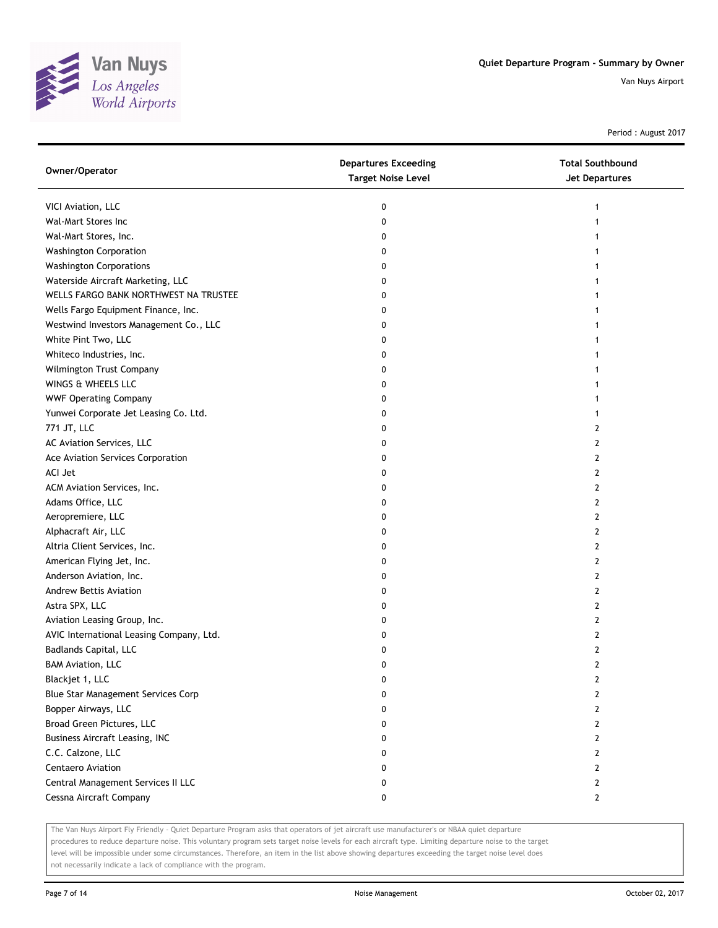

Period : August 2017

| Owner/Operator                           | <b>Departures Exceeding</b><br><b>Target Noise Level</b> | <b>Total Southbound</b><br>Jet Departures |
|------------------------------------------|----------------------------------------------------------|-------------------------------------------|
| VICI Aviation, LLC                       | 0                                                        | 1                                         |
| Wal-Mart Stores Inc                      | 0                                                        |                                           |
| Wal-Mart Stores, Inc.                    | 0                                                        |                                           |
| <b>Washington Corporation</b>            | 0                                                        |                                           |
| <b>Washington Corporations</b>           | 0                                                        |                                           |
| Waterside Aircraft Marketing, LLC        | 0                                                        |                                           |
| WELLS FARGO BANK NORTHWEST NA TRUSTEE    | 0                                                        | 1                                         |
| Wells Fargo Equipment Finance, Inc.      | 0                                                        | 1                                         |
| Westwind Investors Management Co., LLC   | 0                                                        |                                           |
| White Pint Two, LLC                      | 0                                                        |                                           |
| Whiteco Industries, Inc.                 | 0                                                        |                                           |
| Wilmington Trust Company                 | 0                                                        |                                           |
| WINGS & WHEELS LLC                       | 0                                                        |                                           |
| <b>WWF Operating Company</b>             | 0                                                        |                                           |
| Yunwei Corporate Jet Leasing Co. Ltd.    | 0                                                        |                                           |
| 771 JT, LLC                              | 0                                                        | 2                                         |
| AC Aviation Services, LLC                | 0                                                        | 2                                         |
| Ace Aviation Services Corporation        | 0                                                        | 2                                         |
| ACI Jet                                  | 0                                                        | 2                                         |
| ACM Aviation Services, Inc.              | 0                                                        | 2                                         |
| Adams Office, LLC                        | 0                                                        | 2                                         |
| Aeropremiere, LLC                        | 0                                                        | 2                                         |
| Alphacraft Air, LLC                      | 0                                                        | 2                                         |
| Altria Client Services, Inc.             | 0                                                        | 2                                         |
| American Flying Jet, Inc.                | 0                                                        | 2                                         |
| Anderson Aviation, Inc.                  | 0                                                        | 2                                         |
| Andrew Bettis Aviation                   | 0                                                        | 2                                         |
| Astra SPX, LLC                           | 0                                                        | 2                                         |
| Aviation Leasing Group, Inc.             | 0                                                        | 2                                         |
| AVIC International Leasing Company, Ltd. | 0                                                        | 2                                         |
| Badlands Capital, LLC                    | 0                                                        | 2                                         |
| <b>BAM Aviation, LLC</b>                 | 0                                                        | 2                                         |
| Blackjet 1, LLC                          | 0                                                        | 2                                         |
| Blue Star Management Services Corp       | 0                                                        | 2                                         |
| Bopper Airways, LLC                      | 0                                                        | $\overline{2}$                            |
| Broad Green Pictures, LLC                | 0                                                        | 2                                         |
| <b>Business Aircraft Leasing, INC</b>    | 0                                                        | 2                                         |
| C.C. Calzone, LLC                        | 0                                                        | 2                                         |
| Centaero Aviation                        | 0                                                        | 2                                         |
| Central Management Services II LLC       | 0                                                        | 2                                         |
| Cessna Aircraft Company                  | 0                                                        | 2                                         |

The Van Nuys Airport Fly Friendly - Quiet Departure Program asks that operators of jet aircraft use manufacturer's or NBAA quiet departure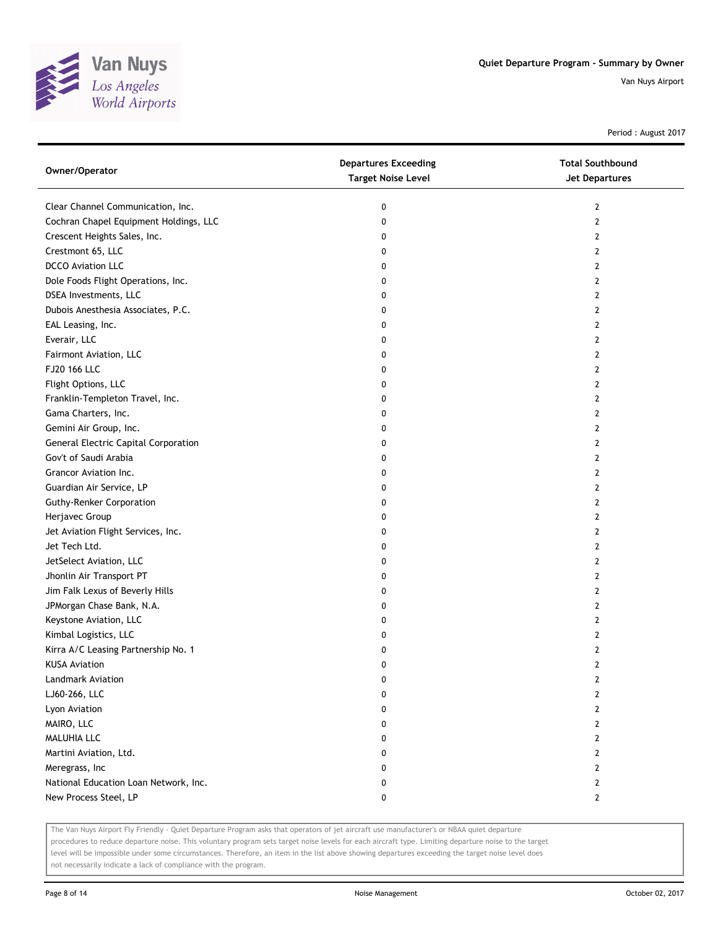

Period : August 2017

| Clear Channel Communication, Inc.<br>0<br>$\mathbf{2}$      |  |
|-------------------------------------------------------------|--|
|                                                             |  |
| Cochran Chapel Equipment Holdings, LLC<br>0<br>$\mathbf{2}$ |  |
| Crescent Heights Sales, Inc.<br>0<br>2                      |  |
| Crestmont 65, LLC<br>0<br>2                                 |  |
| <b>DCCO Aviation LLC</b><br>2<br>0                          |  |
| Dole Foods Flight Operations, Inc.<br>0<br>2                |  |
| DSEA Investments, LLC<br>0<br>2                             |  |
| Dubois Anesthesia Associates, P.C.<br>0<br>2                |  |
| EAL Leasing, Inc.<br>0<br>2                                 |  |
| Everair, LLC<br>0<br>2                                      |  |
| Fairmont Aviation, LLC<br>0<br>2                            |  |
| FJ20 166 LLC<br>0<br>2                                      |  |
| Flight Options, LLC<br>2<br>0                               |  |
| Franklin-Templeton Travel, Inc.<br>0<br>2                   |  |
| Gama Charters, Inc.<br>2<br>0                               |  |
| Gemini Air Group, Inc.<br>0<br>2                            |  |
| General Electric Capital Corporation<br>0<br>2              |  |
| Gov't of Saudi Arabia<br>0<br>2                             |  |
| Grancor Aviation Inc.<br>0<br>2                             |  |
| Guardian Air Service, LP<br>0<br>2                          |  |
| <b>Guthy-Renker Corporation</b><br>2<br>0                   |  |
| Herjavec Group<br>0<br>2                                    |  |
| Jet Aviation Flight Services, Inc.<br>2<br>0                |  |
| Jet Tech Ltd.<br>0<br>2                                     |  |
| JetSelect Aviation, LLC<br>2<br>0                           |  |
| Jhonlin Air Transport PT<br>0<br>2                          |  |
| Jim Falk Lexus of Beverly Hills<br>0<br>2                   |  |
| JPMorgan Chase Bank, N.A.<br>0<br>2                         |  |
| Keystone Aviation, LLC<br>0<br>2                            |  |
| Kimbal Logistics, LLC<br>0<br>2                             |  |
| Kirra A/C Leasing Partnership No. 1<br>2<br>0               |  |
| <b>KUSA Aviation</b><br>$\overline{2}$<br>0                 |  |
| Landmark Aviation<br>0<br>2                                 |  |
| LJ60-266, LLC<br>0<br>2                                     |  |
| Lyon Aviation<br>2<br>0                                     |  |
| MAIRO, LLC<br>2<br>0                                        |  |
| MALUHIA LLC<br>0<br>2                                       |  |
| Martini Aviation, Ltd.<br>0<br>2                            |  |
| Meregrass, Inc<br>0<br>2                                    |  |
| National Education Loan Network, Inc.<br>0<br>2             |  |
| New Process Steel, LP<br>$\mathbf{2}$<br>0                  |  |

The Van Nuys Airport Fly Friendly - Quiet Departure Program asks that operators of jet aircraft use manufacturer's or NBAA quiet departure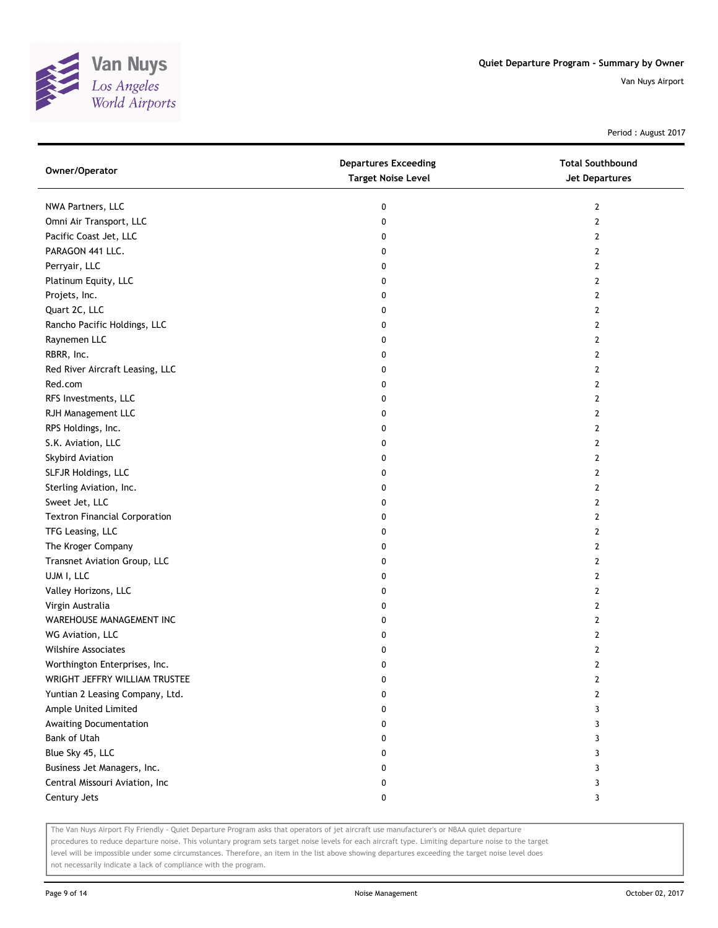

Period : August 2017

| Owner/Operator                       | <b>Departures Exceeding</b><br><b>Target Noise Level</b> | <b>Total Southbound</b><br>Jet Departures |
|--------------------------------------|----------------------------------------------------------|-------------------------------------------|
| NWA Partners, LLC                    | 0                                                        | $\mathbf{2}$                              |
| Omni Air Transport, LLC              | 0                                                        | $\mathbf{2}$                              |
| Pacific Coast Jet, LLC               | 0                                                        | $\mathbf{2}$                              |
| PARAGON 441 LLC.                     | 0                                                        | $\mathbf{2}$                              |
| Perryair, LLC                        | 0                                                        | 2                                         |
| Platinum Equity, LLC                 | 0                                                        | $\mathbf{2}$                              |
| Projets, Inc.                        | 0                                                        | $\mathbf{2}$                              |
| Quart 2C, LLC                        | 0                                                        | 2                                         |
| Rancho Pacific Holdings, LLC         | 0                                                        | 2                                         |
| Raynemen LLC                         | 0                                                        | 2                                         |
| RBRR, Inc.                           | 0                                                        | $\overline{2}$                            |
| Red River Aircraft Leasing, LLC      | 0                                                        | 2                                         |
| Red.com                              | 0                                                        | 2                                         |
| RFS Investments, LLC                 | 0                                                        | $\mathbf{2}$                              |
| RJH Management LLC                   | 0                                                        | 2                                         |
| RPS Holdings, Inc.                   | 0                                                        | $\mathbf{2}$                              |
| S.K. Aviation, LLC                   | 0                                                        | $\mathbf{2}$                              |
| Skybird Aviation                     | 0                                                        | 2                                         |
| SLFJR Holdings, LLC                  | 0                                                        | 2                                         |
| Sterling Aviation, Inc.              | 0                                                        | 2                                         |
| Sweet Jet, LLC                       | 0                                                        | 2                                         |
| <b>Textron Financial Corporation</b> | 0                                                        | $\overline{2}$                            |
| TFG Leasing, LLC                     | 0                                                        | 2                                         |
| The Kroger Company                   | 0                                                        | $\overline{2}$                            |
| Transnet Aviation Group, LLC         | 0                                                        | 2                                         |
| UJM I, LLC                           | 0                                                        | 2                                         |
| Valley Horizons, LLC                 | 0                                                        | 2                                         |
| Virgin Australia                     | 0                                                        | 2                                         |
| WAREHOUSE MANAGEMENT INC             | 0                                                        | 2                                         |
| WG Aviation, LLC                     | 0                                                        | 2                                         |
| <b>Wilshire Associates</b>           | 0                                                        | 2                                         |
| Worthington Enterprises, Inc.        | 0                                                        | $\overline{2}$                            |
| WRIGHT JEFFRY WILLIAM TRUSTEE        | 0                                                        | 2                                         |
| Yuntian 2 Leasing Company, Ltd.      | 0                                                        | 2                                         |
| Ample United Limited                 | 0                                                        | 3                                         |
| Awaiting Documentation               | 0                                                        | 3                                         |
| Bank of Utah                         | 0                                                        | 3                                         |
| Blue Sky 45, LLC                     | 0                                                        | 3                                         |
| Business Jet Managers, Inc.          | 0                                                        | 3                                         |
| Central Missouri Aviation, Inc       | 0                                                        | 3                                         |
| Century Jets                         | 0                                                        | 3                                         |

The Van Nuys Airport Fly Friendly - Quiet Departure Program asks that operators of jet aircraft use manufacturer's or NBAA quiet departure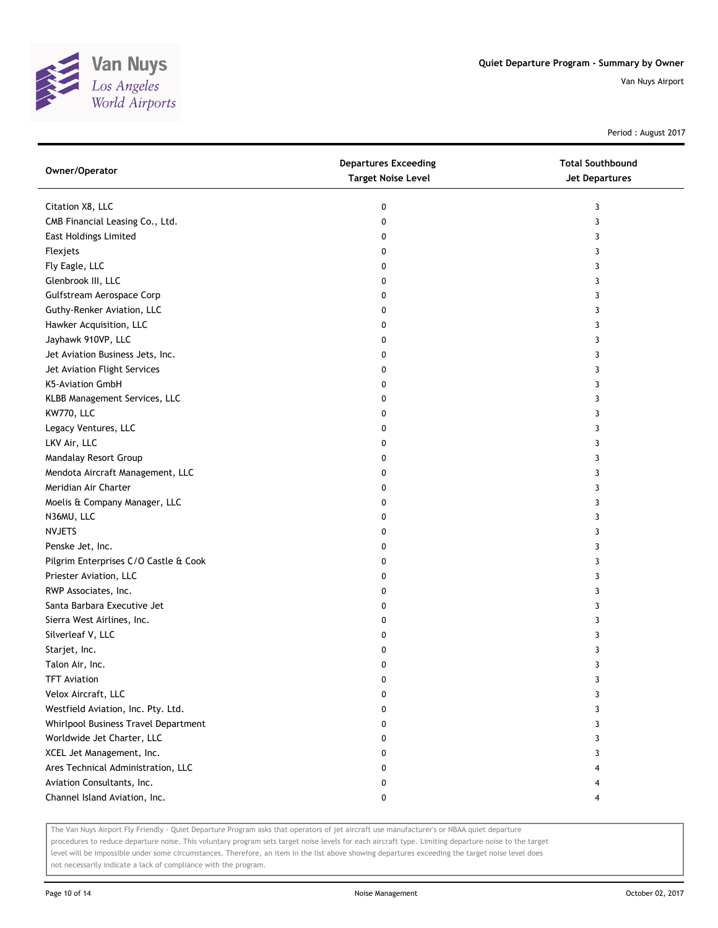

Period : August 2017

| Owner/Operator                        | <b>Departures Exceeding</b><br><b>Target Noise Level</b> | <b>Total Southbound</b><br>Jet Departures |
|---------------------------------------|----------------------------------------------------------|-------------------------------------------|
| Citation X8, LLC                      | 0                                                        | 3                                         |
| CMB Financial Leasing Co., Ltd.       | 0                                                        | 3                                         |
| <b>East Holdings Limited</b>          | 0                                                        | 3                                         |
| Flexjets                              | 0                                                        | 3                                         |
| Fly Eagle, LLC                        | 0                                                        | 3                                         |
| Glenbrook III, LLC                    | 0                                                        | 3                                         |
| Gulfstream Aerospace Corp             | 0                                                        | 3                                         |
| Guthy-Renker Aviation, LLC            | 0                                                        | 3                                         |
| Hawker Acquisition, LLC               | 0                                                        | 3                                         |
| Jayhawk 910VP, LLC                    | 0                                                        | 3                                         |
| Jet Aviation Business Jets, Inc.      | 0                                                        | 3                                         |
| Jet Aviation Flight Services          | 0                                                        | 3                                         |
| K5-Aviation GmbH                      | 0                                                        | 3                                         |
| KLBB Management Services, LLC         | 0                                                        | 3                                         |
| KW770, LLC                            | 0                                                        | 3                                         |
| Legacy Ventures, LLC                  | 0                                                        | 3                                         |
| LKV Air, LLC                          | 0                                                        | 3                                         |
| Mandalay Resort Group                 | 0                                                        | 3                                         |
| Mendota Aircraft Management, LLC      | 0                                                        | 3                                         |
| Meridian Air Charter                  | 0                                                        | 3                                         |
| Moelis & Company Manager, LLC         | 0                                                        | 3                                         |
| N36MU, LLC                            | 0                                                        | 3                                         |
| <b>NVJETS</b>                         | 0                                                        | 3                                         |
| Penske Jet, Inc.                      | 0                                                        | 3                                         |
| Pilgrim Enterprises C/O Castle & Cook | 0                                                        | 3                                         |
| Priester Aviation, LLC                | 0                                                        | 3                                         |
| RWP Associates, Inc.                  | 0                                                        | 3                                         |
| Santa Barbara Executive Jet           | 0                                                        | 3                                         |
| Sierra West Airlines, Inc.            | 0                                                        | 3                                         |
| Silverleaf V, LLC                     | 0                                                        | 3                                         |
| Starjet, Inc.                         | 0                                                        | 3                                         |
| Talon Air, Inc.                       | 0                                                        | 3                                         |
| <b>TFT Aviation</b>                   | 0                                                        | 3                                         |
| Velox Aircraft, LLC                   | 0                                                        | 3                                         |
| Westfield Aviation, Inc. Pty. Ltd.    | 0                                                        | 3                                         |
| Whirlpool Business Travel Department  | 0                                                        | 3                                         |
| Worldwide Jet Charter, LLC            | 0                                                        | 3                                         |
| XCEL Jet Management, Inc.             | 0                                                        | 3                                         |
| Ares Technical Administration, LLC    | 0                                                        |                                           |
| Aviation Consultants, Inc.            | 0                                                        |                                           |
| Channel Island Aviation, Inc.         | 0                                                        | 4                                         |

The Van Nuys Airport Fly Friendly - Quiet Departure Program asks that operators of jet aircraft use manufacturer's or NBAA quiet departure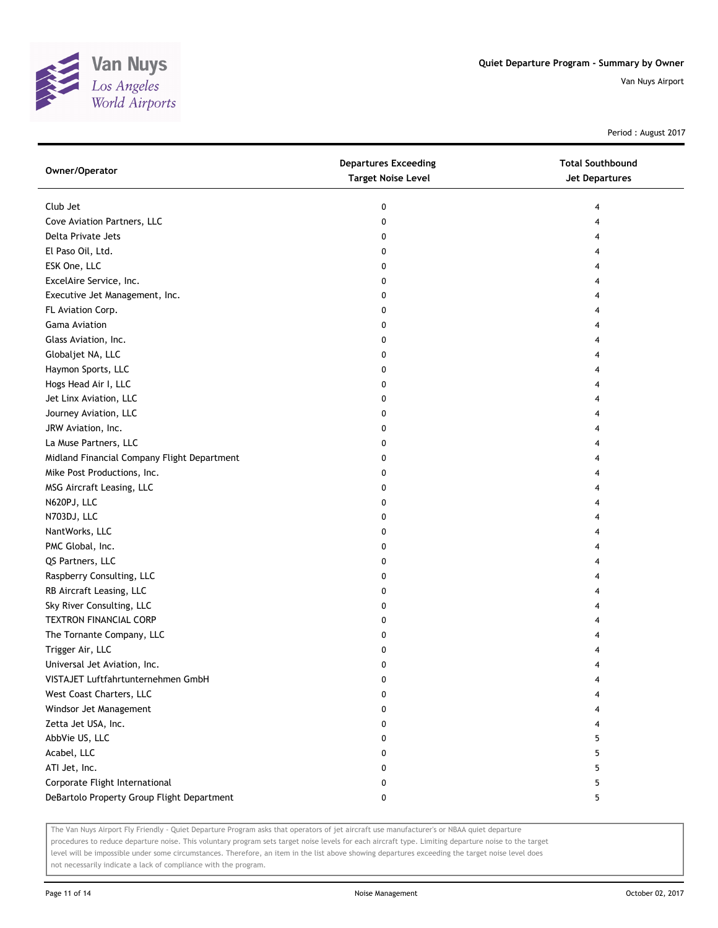

Period : August 2017

| Owner/Operator                              | <b>Departures Exceeding</b><br><b>Target Noise Level</b> | <b>Total Southbound</b><br>Jet Departures |
|---------------------------------------------|----------------------------------------------------------|-------------------------------------------|
| Club Jet                                    | 0                                                        |                                           |
| Cove Aviation Partners, LLC                 | 0                                                        |                                           |
| Delta Private Jets                          | 0                                                        |                                           |
| El Paso Oil, Ltd.                           | 0                                                        |                                           |
| ESK One, LLC                                | 0                                                        |                                           |
| ExcelAire Service, Inc.                     | 0                                                        |                                           |
| Executive Jet Management, Inc.              | 0                                                        |                                           |
| FL Aviation Corp.                           | 0                                                        |                                           |
| Gama Aviation                               | 0                                                        |                                           |
| Glass Aviation, Inc.                        | 0                                                        |                                           |
| Globaljet NA, LLC                           | 0                                                        |                                           |
| Haymon Sports, LLC                          | 0                                                        |                                           |
| Hogs Head Air I, LLC                        | 0                                                        |                                           |
| Jet Linx Aviation, LLC                      | 0                                                        |                                           |
| Journey Aviation, LLC                       | 0                                                        |                                           |
| JRW Aviation, Inc.                          | 0                                                        |                                           |
| La Muse Partners, LLC                       | 0                                                        |                                           |
| Midland Financial Company Flight Department | 0                                                        |                                           |
| Mike Post Productions, Inc.                 | 0                                                        |                                           |
| MSG Aircraft Leasing, LLC                   | 0                                                        |                                           |
| N620PJ, LLC                                 | 0                                                        |                                           |
| N703DJ, LLC                                 | 0                                                        |                                           |
| NantWorks, LLC                              | 0                                                        |                                           |
| PMC Global, Inc.                            | 0                                                        |                                           |
| QS Partners, LLC                            | 0                                                        |                                           |
| Raspberry Consulting, LLC                   | 0                                                        |                                           |
| RB Aircraft Leasing, LLC                    | 0                                                        |                                           |
| Sky River Consulting, LLC                   | 0                                                        |                                           |
| <b>TEXTRON FINANCIAL CORP</b>               | 0                                                        |                                           |
| The Tornante Company, LLC                   | 0                                                        |                                           |
| Trigger Air, LLC                            | 0                                                        |                                           |
| Universal Jet Aviation, Inc.                | 0                                                        |                                           |
| VISTAJET Luftfahrtunternehmen GmbH          | 0                                                        |                                           |
| West Coast Charters, LLC                    | 0                                                        |                                           |
| Windsor Jet Management                      | 0                                                        |                                           |
| Zetta Jet USA, Inc.                         | 0                                                        |                                           |
| AbbVie US, LLC                              | 0                                                        | 5                                         |
| Acabel, LLC                                 | 0                                                        | 5                                         |
| ATI Jet, Inc.                               | 0                                                        | 5                                         |
| Corporate Flight International              | 0                                                        | 5                                         |
| DeBartolo Property Group Flight Department  | 0                                                        | 5                                         |

The Van Nuys Airport Fly Friendly - Quiet Departure Program asks that operators of jet aircraft use manufacturer's or NBAA quiet departure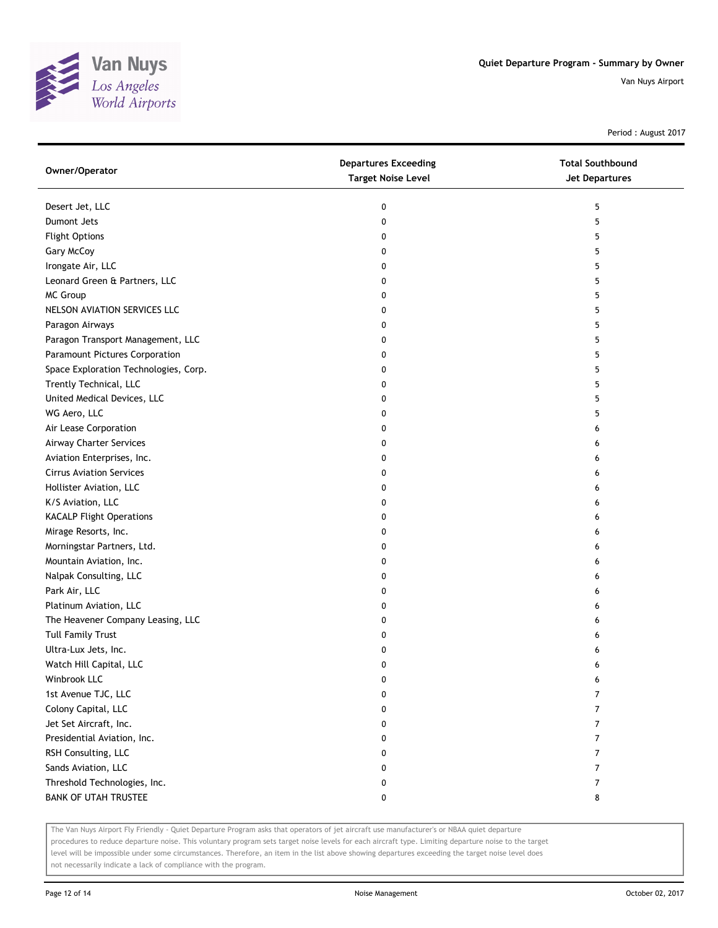

Period : August 2017

| Owner/Operator                        | <b>Departures Exceeding</b><br><b>Target Noise Level</b> | <b>Total Southbound</b><br><b>Jet Departures</b> |
|---------------------------------------|----------------------------------------------------------|--------------------------------------------------|
| Desert Jet, LLC                       | 0                                                        | 5                                                |
| Dumont Jets                           | 0                                                        | 5                                                |
| <b>Flight Options</b>                 | 0                                                        | 5                                                |
| Gary McCoy                            | 0                                                        | 5                                                |
| Irongate Air, LLC                     | 0                                                        | 5                                                |
| Leonard Green & Partners, LLC         | 0                                                        | 5                                                |
| MC Group                              | 0                                                        | 5                                                |
| NELSON AVIATION SERVICES LLC          | 0                                                        | 5                                                |
| Paragon Airways                       | 0                                                        | 5                                                |
| Paragon Transport Management, LLC     | 0                                                        | 5                                                |
| Paramount Pictures Corporation        | 0                                                        | 5                                                |
| Space Exploration Technologies, Corp. | 0                                                        | 5                                                |
| Trently Technical, LLC                | 0                                                        | 5                                                |
| United Medical Devices, LLC           | 0                                                        | 5                                                |
| WG Aero, LLC                          | 0                                                        | 5                                                |
| Air Lease Corporation                 | 0                                                        | 6                                                |
| Airway Charter Services               | 0                                                        | 6                                                |
| Aviation Enterprises, Inc.            | 0                                                        | 6                                                |
| <b>Cirrus Aviation Services</b>       | 0                                                        | 6                                                |
| Hollister Aviation, LLC               | 0                                                        | 6                                                |
| K/S Aviation, LLC                     | 0                                                        | 6                                                |
| <b>KACALP Flight Operations</b>       | 0                                                        | 6                                                |
| Mirage Resorts, Inc.                  | 0                                                        | 6                                                |
| Morningstar Partners, Ltd.            | 0                                                        | 6                                                |
| Mountain Aviation, Inc.               | 0                                                        | 6                                                |
| Nalpak Consulting, LLC                | 0                                                        | 6                                                |
| Park Air, LLC                         | 0                                                        | 6                                                |
| Platinum Aviation, LLC                | 0                                                        | 6                                                |
| The Heavener Company Leasing, LLC     | 0                                                        | 6                                                |
| <b>Tull Family Trust</b>              | 0                                                        | 6                                                |
| Ultra-Lux Jets, Inc.                  | 0                                                        | 6                                                |
| Watch Hill Capital, LLC               | 0                                                        | 6                                                |
| Winbrook LLC                          | 0                                                        | 6                                                |
| 1st Avenue TJC, LLC                   | 0                                                        | 7                                                |
| Colony Capital, LLC                   | 0                                                        | 7                                                |
| Jet Set Aircraft, Inc.                | 0                                                        | 7                                                |
| Presidential Aviation, Inc.           | 0                                                        | 7                                                |
| RSH Consulting, LLC                   | 0                                                        | 7                                                |
| Sands Aviation, LLC                   | 0                                                        | 7                                                |
| Threshold Technologies, Inc.          | 0                                                        | $\overline{7}$                                   |
| <b>BANK OF UTAH TRUSTEE</b>           | 0                                                        | 8                                                |

The Van Nuys Airport Fly Friendly - Quiet Departure Program asks that operators of jet aircraft use manufacturer's or NBAA quiet departure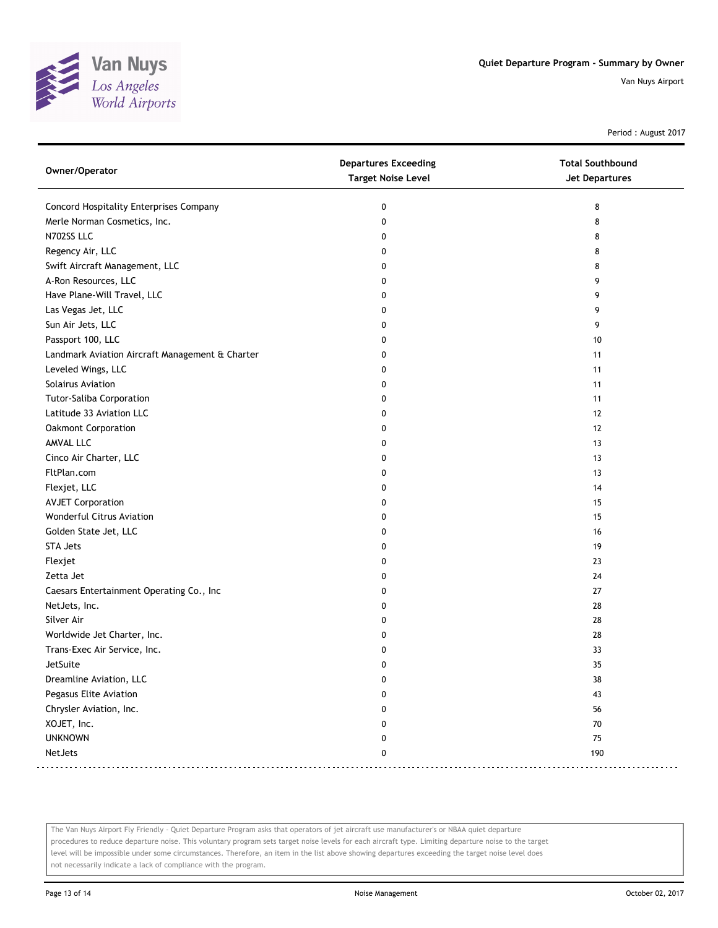

Period : August 2017

| Owner/Operator                                  | <b>Departures Exceeding</b><br><b>Target Noise Level</b> | <b>Total Southbound</b><br><b>Jet Departures</b> |
|-------------------------------------------------|----------------------------------------------------------|--------------------------------------------------|
| Concord Hospitality Enterprises Company         | 0                                                        | 8                                                |
| Merle Norman Cosmetics, Inc.                    | 0                                                        | 8                                                |
| N702SS LLC                                      | 0                                                        | 8                                                |
| Regency Air, LLC                                | 0                                                        | 8                                                |
| Swift Aircraft Management, LLC                  | 0                                                        | 8                                                |
| A-Ron Resources, LLC                            | 0                                                        | 9                                                |
| Have Plane-Will Travel, LLC                     | 0                                                        | 9                                                |
| Las Vegas Jet, LLC                              | 0                                                        | 9                                                |
| Sun Air Jets, LLC                               | 0                                                        | 9                                                |
| Passport 100, LLC                               | 0                                                        | 10                                               |
| Landmark Aviation Aircraft Management & Charter | 0                                                        | 11                                               |
| Leveled Wings, LLC                              | 0                                                        | 11                                               |
| Solairus Aviation                               | 0                                                        | 11                                               |
| Tutor-Saliba Corporation                        | 0                                                        | 11                                               |
| Latitude 33 Aviation LLC                        | 0                                                        | 12                                               |
| Oakmont Corporation                             | 0                                                        | 12                                               |
| AMVAL LLC                                       | 0                                                        | 13                                               |
| Cinco Air Charter, LLC                          | 0                                                        | 13                                               |
| FltPlan.com                                     | 0                                                        | 13                                               |
| Flexjet, LLC                                    | 0                                                        | 14                                               |
| <b>AVJET Corporation</b>                        | 0                                                        | 15                                               |
| Wonderful Citrus Aviation                       | 0                                                        | 15                                               |
| Golden State Jet, LLC                           | 0                                                        | 16                                               |
| <b>STA Jets</b>                                 | 0                                                        | 19                                               |
| Flexjet                                         | 0                                                        | 23                                               |
| Zetta Jet                                       | 0                                                        | 24                                               |
| Caesars Entertainment Operating Co., Inc        | 0                                                        | 27                                               |
| NetJets, Inc.                                   | 0                                                        | 28                                               |
| Silver Air                                      | 0                                                        | 28                                               |
| Worldwide Jet Charter, Inc.                     | 0                                                        | 28                                               |
| Trans-Exec Air Service, Inc.                    | 0                                                        | 33                                               |
| JetSuite                                        | 0                                                        | 35                                               |
| Dreamline Aviation, LLC                         | 0                                                        | $38\,$                                           |
| Pegasus Elite Aviation                          | 0                                                        | 43                                               |
| Chrysler Aviation, Inc.                         | 0                                                        | 56                                               |
| XOJET, Inc.                                     | 0                                                        | $70\,$                                           |
| <b>UNKNOWN</b>                                  | 0                                                        | 75                                               |
| NetJets                                         | 0                                                        | 190                                              |

The Van Nuys Airport Fly Friendly - Quiet Departure Program asks that operators of jet aircraft use manufacturer's or NBAA quiet departure procedures to reduce departure noise. This voluntary program sets target noise levels for each aircraft type. Limiting departure noise to the target level will be impossible under some circumstances. Therefore, an item in the list above showing departures exceeding the target noise level does not necessarily indicate a lack of compliance with the program.